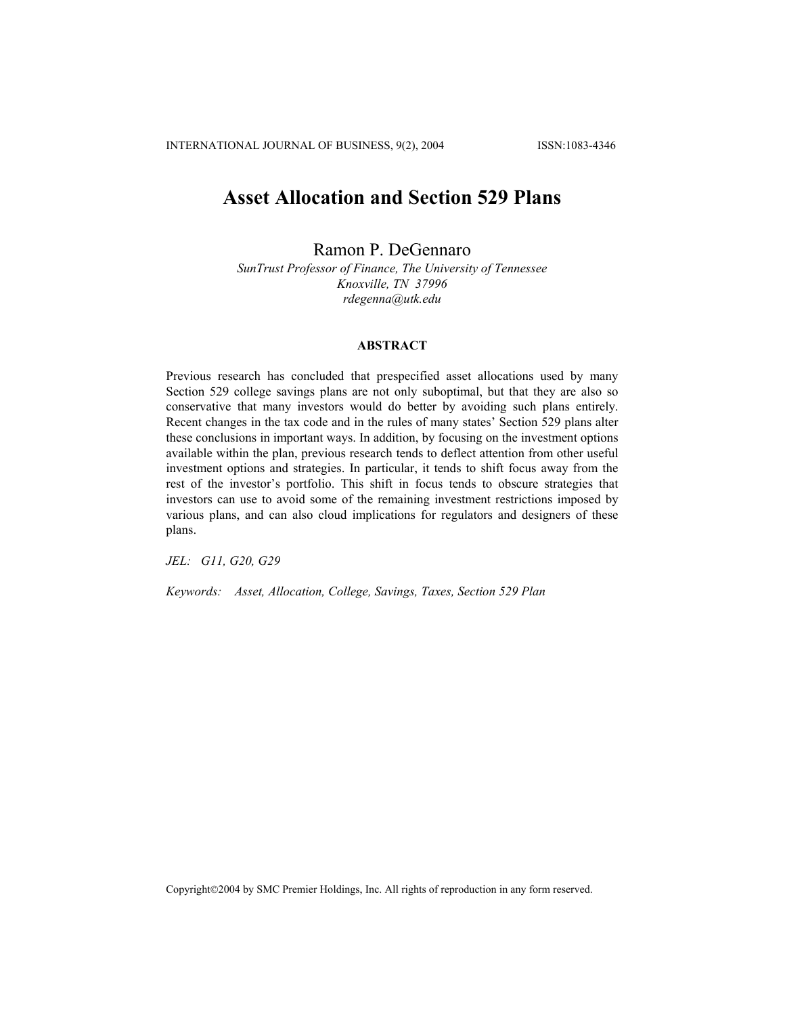# **Asset Allocation and Section 529 Plans**

Ramon P. DeGennaro

*SunTrust Professor of Finance, The University of Tennessee Knoxville, TN 37996 rdegenna@utk.edu* 

## **ABSTRACT**

Previous research has concluded that prespecified asset allocations used by many Section 529 college savings plans are not only suboptimal, but that they are also so conservative that many investors would do better by avoiding such plans entirely. Recent changes in the tax code and in the rules of many states' Section 529 plans alter these conclusions in important ways. In addition, by focusing on the investment options available within the plan, previous research tends to deflect attention from other useful investment options and strategies. In particular, it tends to shift focus away from the rest of the investor's portfolio. This shift in focus tends to obscure strategies that investors can use to avoid some of the remaining investment restrictions imposed by various plans, and can also cloud implications for regulators and designers of these plans.

*JEL: G11, G20, G29* 

*Keywords: Asset, Allocation, College, Savings, Taxes, Section 529 Plan* 

Copyright©2004 by SMC Premier Holdings, Inc. All rights of reproduction in any form reserved.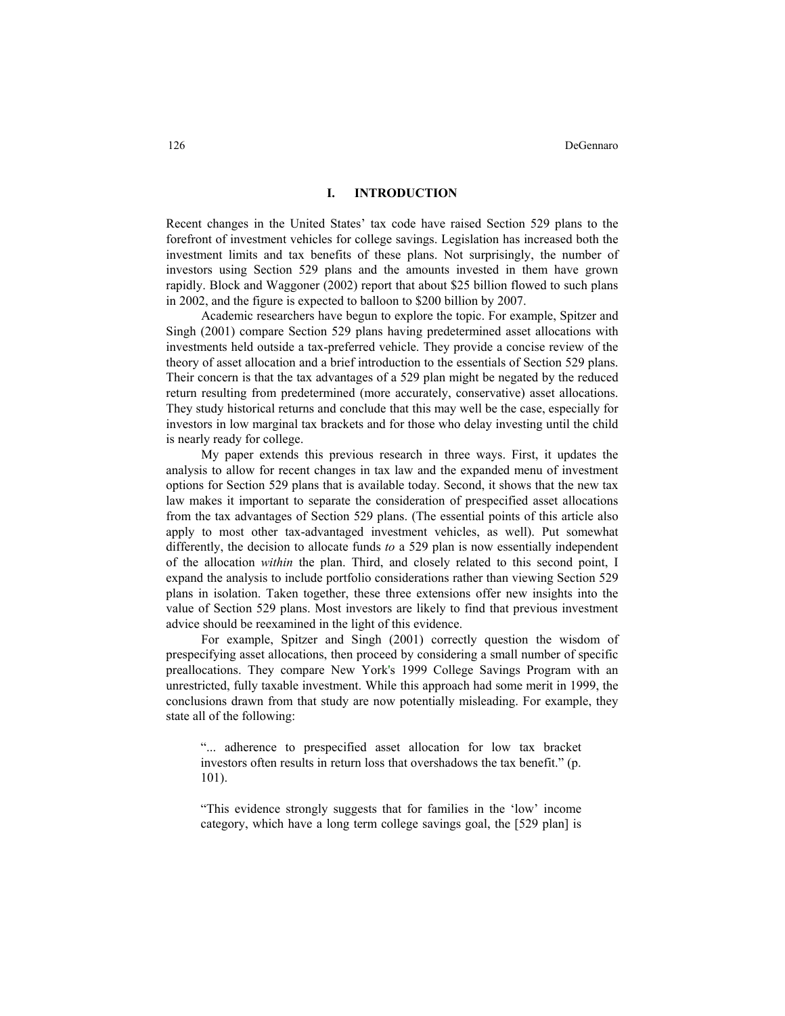### **I. INTRODUCTION**

Recent changes in the United States' tax code have raised Section 529 plans to the forefront of investment vehicles for college savings. Legislation has increased both the investment limits and tax benefits of these plans. Not surprisingly, the number of investors using Section 529 plans and the amounts invested in them have grown rapidly. Block and Waggoner (2002) report that about \$25 billion flowed to such plans in 2002, and the figure is expected to balloon to \$200 billion by 2007.

Academic researchers have begun to explore the topic. For example, Spitzer and Singh (2001) compare Section 529 plans having predetermined asset allocations with investments held outside a tax-preferred vehicle. They provide a concise review of the theory of asset allocation and a brief introduction to the essentials of Section 529 plans. Their concern is that the tax advantages of a 529 plan might be negated by the reduced return resulting from predetermined (more accurately, conservative) asset allocations. They study historical returns and conclude that this may well be the case, especially for investors in low marginal tax brackets and for those who delay investing until the child is nearly ready for college.

My paper extends this previous research in three ways. First, it updates the analysis to allow for recent changes in tax law and the expanded menu of investment options for Section 529 plans that is available today. Second, it shows that the new tax law makes it important to separate the consideration of prespecified asset allocations from the tax advantages of Section 529 plans. (The essential points of this article also apply to most other tax-advantaged investment vehicles, as well). Put somewhat differently, the decision to allocate funds *to* a 529 plan is now essentially independent of the allocation *within* the plan. Third, and closely related to this second point, I expand the analysis to include portfolio considerations rather than viewing Section 529 plans in isolation. Taken together, these three extensions offer new insights into the value of Section 529 plans. Most investors are likely to find that previous investment advice should be reexamined in the light of this evidence.

For example, Spitzer and Singh (2001) correctly question the wisdom of prespecifying asset allocations, then proceed by considering a small number of specific preallocations. They compare New York's 1999 College Savings Program with an unrestricted, fully taxable investment. While this approach had some merit in 1999, the conclusions drawn from that study are now potentially misleading. For example, they state all of the following:

"... adherence to prespecified asset allocation for low tax bracket investors often results in return loss that overshadows the tax benefit." (p. 101).

"This evidence strongly suggests that for families in the 'low' income category, which have a long term college savings goal, the [529 plan] is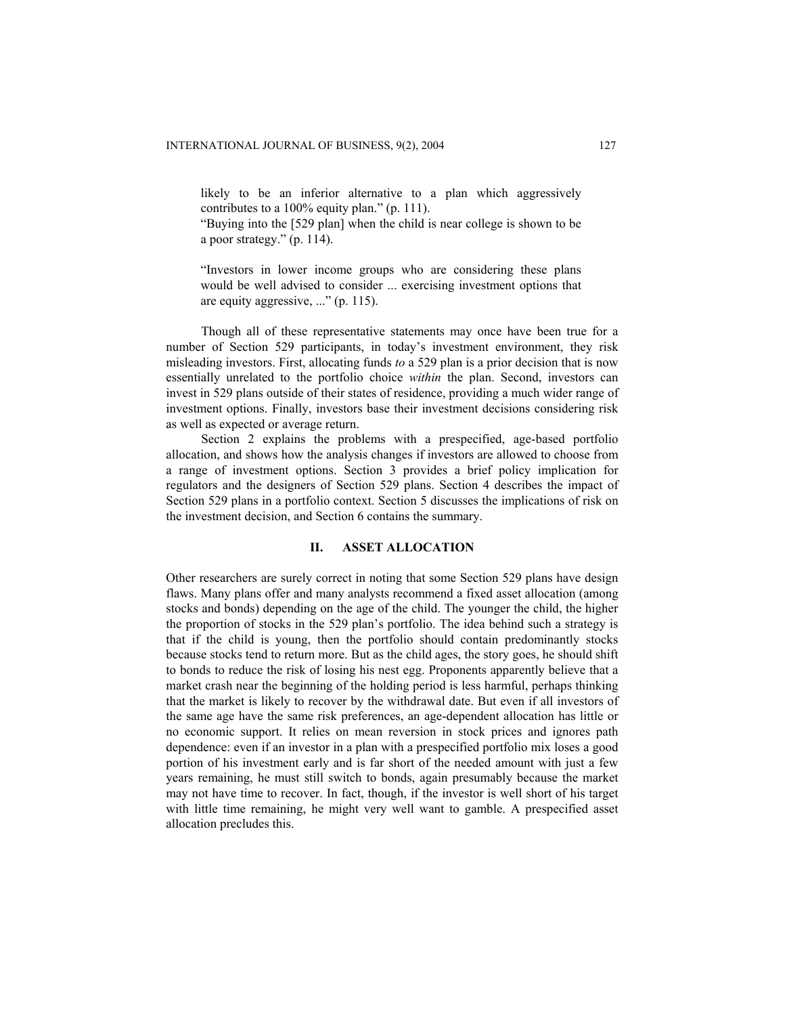likely to be an inferior alternative to a plan which aggressively contributes to a 100% equity plan." (p. 111).

"Buying into the [529 plan] when the child is near college is shown to be a poor strategy." (p. 114).

"Investors in lower income groups who are considering these plans would be well advised to consider ... exercising investment options that are equity aggressive, ..." (p. 115).

Though all of these representative statements may once have been true for a number of Section 529 participants, in today's investment environment, they risk misleading investors. First, allocating funds *to* a 529 plan is a prior decision that is now essentially unrelated to the portfolio choice *within* the plan. Second, investors can invest in 529 plans outside of their states of residence, providing a much wider range of investment options. Finally, investors base their investment decisions considering risk as well as expected or average return.

Section 2 explains the problems with a prespecified, age-based portfolio allocation, and shows how the analysis changes if investors are allowed to choose from a range of investment options. Section 3 provides a brief policy implication for regulators and the designers of Section 529 plans. Section 4 describes the impact of Section 529 plans in a portfolio context. Section 5 discusses the implications of risk on the investment decision, and Section 6 contains the summary.

## **II. ASSET ALLOCATION**

Other researchers are surely correct in noting that some Section 529 plans have design flaws. Many plans offer and many analysts recommend a fixed asset allocation (among stocks and bonds) depending on the age of the child. The younger the child, the higher the proportion of stocks in the 529 plan's portfolio. The idea behind such a strategy is that if the child is young, then the portfolio should contain predominantly stocks because stocks tend to return more. But as the child ages, the story goes, he should shift to bonds to reduce the risk of losing his nest egg. Proponents apparently believe that a market crash near the beginning of the holding period is less harmful, perhaps thinking that the market is likely to recover by the withdrawal date. But even if all investors of the same age have the same risk preferences, an age-dependent allocation has little or no economic support. It relies on mean reversion in stock prices and ignores path dependence: even if an investor in a plan with a prespecified portfolio mix loses a good portion of his investment early and is far short of the needed amount with just a few years remaining, he must still switch to bonds, again presumably because the market may not have time to recover. In fact, though, if the investor is well short of his target with little time remaining, he might very well want to gamble. A prespecified asset allocation precludes this.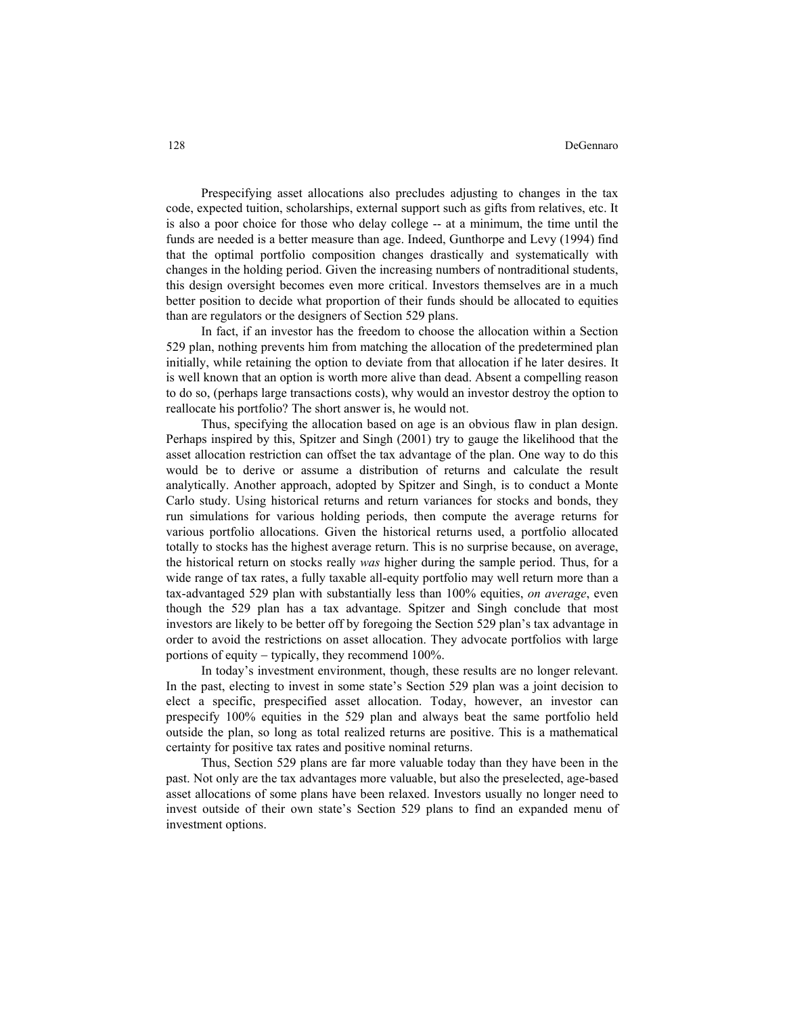Prespecifying asset allocations also precludes adjusting to changes in the tax code, expected tuition, scholarships, external support such as gifts from relatives, etc. It is also a poor choice for those who delay college -- at a minimum, the time until the funds are needed is a better measure than age. Indeed, Gunthorpe and Levy (1994) find that the optimal portfolio composition changes drastically and systematically with changes in the holding period. Given the increasing numbers of nontraditional students, this design oversight becomes even more critical. Investors themselves are in a much better position to decide what proportion of their funds should be allocated to equities than are regulators or the designers of Section 529 plans.

In fact, if an investor has the freedom to choose the allocation within a Section 529 plan, nothing prevents him from matching the allocation of the predetermined plan initially, while retaining the option to deviate from that allocation if he later desires. It is well known that an option is worth more alive than dead. Absent a compelling reason to do so, (perhaps large transactions costs), why would an investor destroy the option to reallocate his portfolio? The short answer is, he would not.

Thus, specifying the allocation based on age is an obvious flaw in plan design. Perhaps inspired by this, Spitzer and Singh (2001) try to gauge the likelihood that the asset allocation restriction can offset the tax advantage of the plan. One way to do this would be to derive or assume a distribution of returns and calculate the result analytically. Another approach, adopted by Spitzer and Singh, is to conduct a Monte Carlo study. Using historical returns and return variances for stocks and bonds, they run simulations for various holding periods, then compute the average returns for various portfolio allocations. Given the historical returns used, a portfolio allocated totally to stocks has the highest average return. This is no surprise because, on average, the historical return on stocks really *was* higher during the sample period. Thus, for a wide range of tax rates, a fully taxable all-equity portfolio may well return more than a tax-advantaged 529 plan with substantially less than 100% equities, *on average*, even though the 529 plan has a tax advantage. Spitzer and Singh conclude that most investors are likely to be better off by foregoing the Section 529 plan's tax advantage in order to avoid the restrictions on asset allocation. They advocate portfolios with large portions of equity − typically, they recommend 100%.

In today's investment environment, though, these results are no longer relevant. In the past, electing to invest in some state's Section 529 plan was a joint decision to elect a specific, prespecified asset allocation. Today, however, an investor can prespecify 100% equities in the 529 plan and always beat the same portfolio held outside the plan, so long as total realized returns are positive. This is a mathematical certainty for positive tax rates and positive nominal returns.

Thus, Section 529 plans are far more valuable today than they have been in the past. Not only are the tax advantages more valuable, but also the preselected, age-based asset allocations of some plans have been relaxed. Investors usually no longer need to invest outside of their own state's Section 529 plans to find an expanded menu of investment options.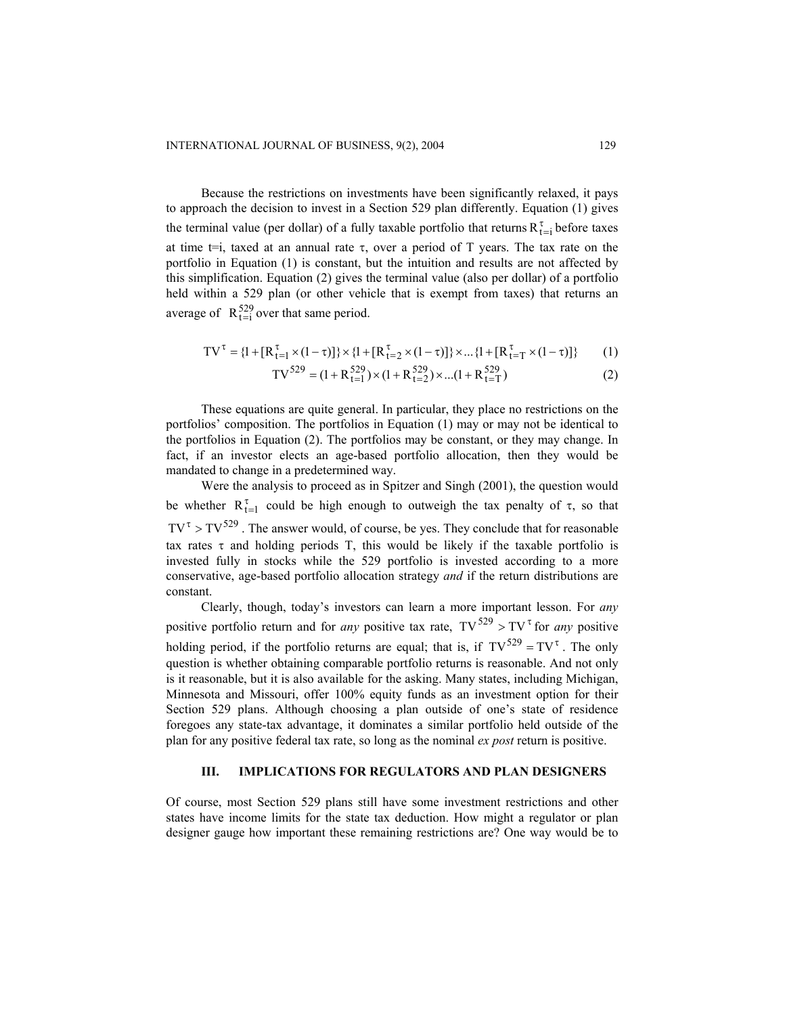Because the restrictions on investments have been significantly relaxed, it pays to approach the decision to invest in a Section 529 plan differently. Equation (1) gives the terminal value (per dollar) of a fully taxable portfolio that returns  $R_{t=i}^{\tau}$  before taxes at time t=i, taxed at an annual rate  $\tau$ , over a period of T years. The tax rate on the portfolio in Equation (1) is constant, but the intuition and results are not affected by this simplification. Equation (2) gives the terminal value (also per dollar) of a portfolio held within a 529 plan (or other vehicle that is exempt from taxes) that returns an average of  $R_{t=i}^{529}$  over that same period.

$$
TV^{\tau} = \{l + [R^{\tau}_{t=1} \times (1-\tau)]\} \times \{l + [R^{\tau}_{t=2} \times (1-\tau)]\} \times ... \{l + [R^{\tau}_{t=T} \times (1-\tau)]\} \qquad (1)
$$

$$
TV^{529} = (1 + R^{529}_{t=1}) \times (1 + R^{529}_{t=2}) \times ... (1 + R^{529}_{t=T})
$$
 (2)

These equations are quite general. In particular, they place no restrictions on the portfolios' composition. The portfolios in Equation (1) may or may not be identical to the portfolios in Equation (2). The portfolios may be constant, or they may change. In fact, if an investor elects an age-based portfolio allocation, then they would be mandated to change in a predetermined way.

Were the analysis to proceed as in Spitzer and Singh (2001), the question would be whether  $R_{t=1}^{\tau}$  could be high enough to outweigh the tax penalty of  $\tau$ , so that  $TV^{\tau} > TV^{529}$ . The answer would, of course, be yes. They conclude that for reasonable tax rates  $\tau$  and holding periods T, this would be likely if the taxable portfolio is invested fully in stocks while the 529 portfolio is invested according to a more conservative, age-based portfolio allocation strategy *and* if the return distributions are constant.

Clearly, though, today's investors can learn a more important lesson. For *any* positive portfolio return and for *any* positive tax rate,  $TV^{529} > TV^{\tau}$  for *any* positive holding period, if the portfolio returns are equal; that is, if  $TV^{529} = TV^{\tau}$ . The only question is whether obtaining comparable portfolio returns is reasonable. And not only is it reasonable, but it is also available for the asking. Many states, including Michigan, Minnesota and Missouri, offer 100% equity funds as an investment option for their Section 529 plans. Although choosing a plan outside of one's state of residence foregoes any state-tax advantage, it dominates a similar portfolio held outside of the plan for any positive federal tax rate, so long as the nominal *ex post* return is positive.

## **III. IMPLICATIONS FOR REGULATORS AND PLAN DESIGNERS**

Of course, most Section 529 plans still have some investment restrictions and other states have income limits for the state tax deduction. How might a regulator or plan designer gauge how important these remaining restrictions are? One way would be to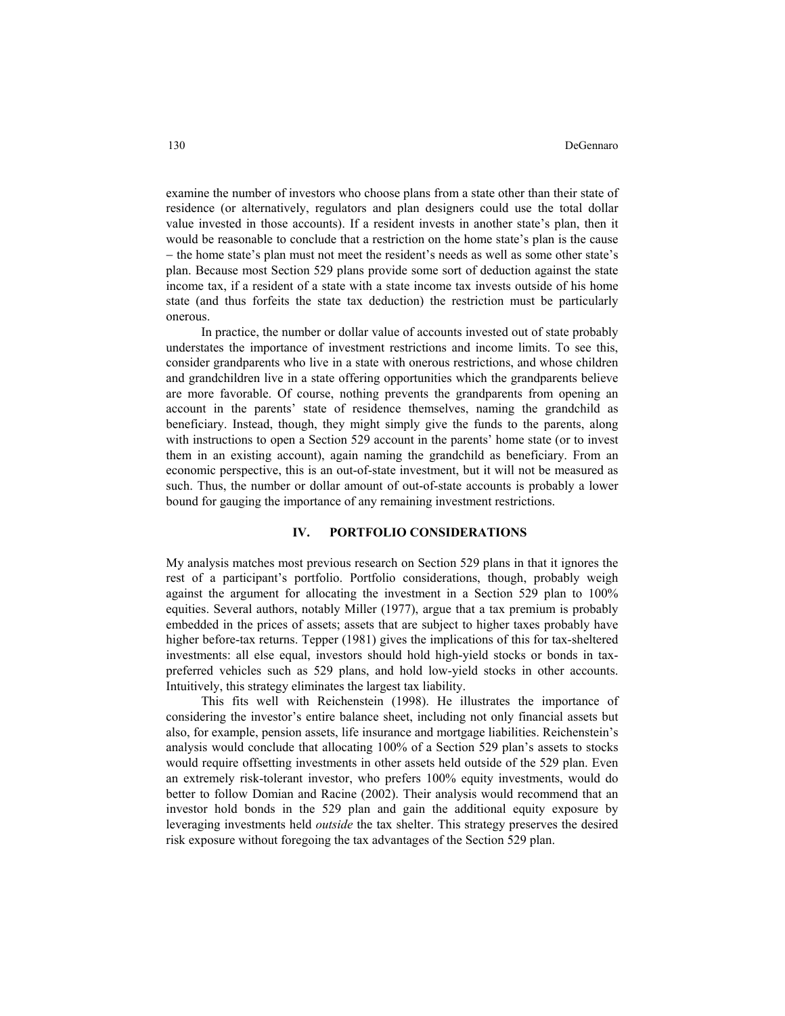examine the number of investors who choose plans from a state other than their state of residence (or alternatively, regulators and plan designers could use the total dollar value invested in those accounts). If a resident invests in another state's plan, then it would be reasonable to conclude that a restriction on the home state's plan is the cause − the home state's plan must not meet the resident's needs as well as some other state's plan. Because most Section 529 plans provide some sort of deduction against the state income tax, if a resident of a state with a state income tax invests outside of his home state (and thus forfeits the state tax deduction) the restriction must be particularly onerous.

In practice, the number or dollar value of accounts invested out of state probably understates the importance of investment restrictions and income limits. To see this, consider grandparents who live in a state with onerous restrictions, and whose children and grandchildren live in a state offering opportunities which the grandparents believe are more favorable. Of course, nothing prevents the grandparents from opening an account in the parents' state of residence themselves, naming the grandchild as beneficiary. Instead, though, they might simply give the funds to the parents, along with instructions to open a Section 529 account in the parents' home state (or to invest them in an existing account), again naming the grandchild as beneficiary. From an economic perspective, this is an out-of-state investment, but it will not be measured as such. Thus, the number or dollar amount of out-of-state accounts is probably a lower bound for gauging the importance of any remaining investment restrictions.

## **IV. PORTFOLIO CONSIDERATIONS**

My analysis matches most previous research on Section 529 plans in that it ignores the rest of a participant's portfolio. Portfolio considerations, though, probably weigh against the argument for allocating the investment in a Section 529 plan to 100% equities. Several authors, notably Miller (1977), argue that a tax premium is probably embedded in the prices of assets; assets that are subject to higher taxes probably have higher before-tax returns. Tepper (1981) gives the implications of this for tax-sheltered investments: all else equal, investors should hold high-yield stocks or bonds in taxpreferred vehicles such as 529 plans, and hold low-yield stocks in other accounts. Intuitively, this strategy eliminates the largest tax liability.

This fits well with Reichenstein (1998). He illustrates the importance of considering the investor's entire balance sheet, including not only financial assets but also, for example, pension assets, life insurance and mortgage liabilities. Reichenstein's analysis would conclude that allocating 100% of a Section 529 plan's assets to stocks would require offsetting investments in other assets held outside of the 529 plan. Even an extremely risk-tolerant investor, who prefers 100% equity investments, would do better to follow Domian and Racine (2002). Their analysis would recommend that an investor hold bonds in the 529 plan and gain the additional equity exposure by leveraging investments held *outside* the tax shelter. This strategy preserves the desired risk exposure without foregoing the tax advantages of the Section 529 plan.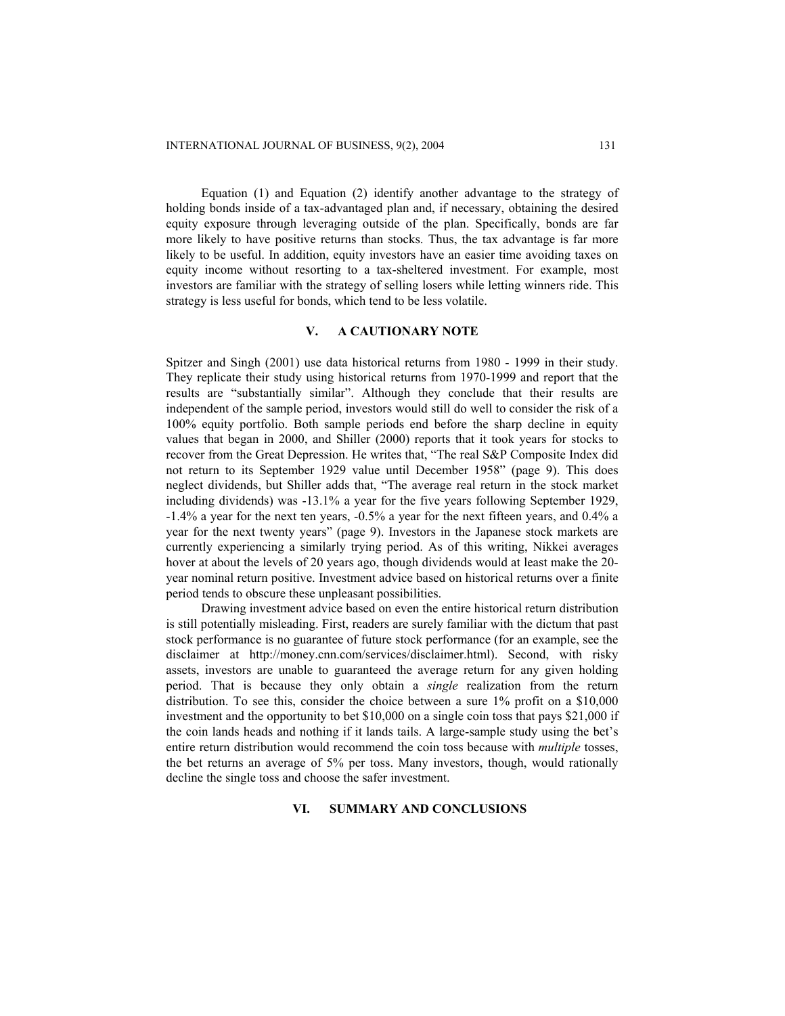Equation (1) and Equation (2) identify another advantage to the strategy of holding bonds inside of a tax-advantaged plan and, if necessary, obtaining the desired equity exposure through leveraging outside of the plan. Specifically, bonds are far more likely to have positive returns than stocks. Thus, the tax advantage is far more likely to be useful. In addition, equity investors have an easier time avoiding taxes on equity income without resorting to a tax-sheltered investment. For example, most investors are familiar with the strategy of selling losers while letting winners ride. This strategy is less useful for bonds, which tend to be less volatile.

## **V. A CAUTIONARY NOTE**

Spitzer and Singh (2001) use data historical returns from 1980 - 1999 in their study. They replicate their study using historical returns from 1970-1999 and report that the results are "substantially similar". Although they conclude that their results are independent of the sample period, investors would still do well to consider the risk of a 100% equity portfolio. Both sample periods end before the sharp decline in equity values that began in 2000, and Shiller (2000) reports that it took years for stocks to recover from the Great Depression. He writes that, "The real S&P Composite Index did not return to its September 1929 value until December 1958" (page 9). This does neglect dividends, but Shiller adds that, "The average real return in the stock market including dividends) was -13.1% a year for the five years following September 1929, -1.4% a year for the next ten years, -0.5% a year for the next fifteen years, and 0.4% a year for the next twenty years" (page 9). Investors in the Japanese stock markets are currently experiencing a similarly trying period. As of this writing, Nikkei averages hover at about the levels of 20 years ago, though dividends would at least make the 20 year nominal return positive. Investment advice based on historical returns over a finite period tends to obscure these unpleasant possibilities.

Drawing investment advice based on even the entire historical return distribution is still potentially misleading. First, readers are surely familiar with the dictum that past stock performance is no guarantee of future stock performance (for an example, see the disclaimer at http://money.cnn.com/services/disclaimer.html). Second, with risky assets, investors are unable to guaranteed the average return for any given holding period. That is because they only obtain a *single* realization from the return distribution. To see this, consider the choice between a sure 1% profit on a \$10,000 investment and the opportunity to bet \$10,000 on a single coin toss that pays \$21,000 if the coin lands heads and nothing if it lands tails. A large-sample study using the bet's entire return distribution would recommend the coin toss because with *multiple* tosses, the bet returns an average of 5% per toss. Many investors, though, would rationally decline the single toss and choose the safer investment.

## **VI. SUMMARY AND CONCLUSIONS**